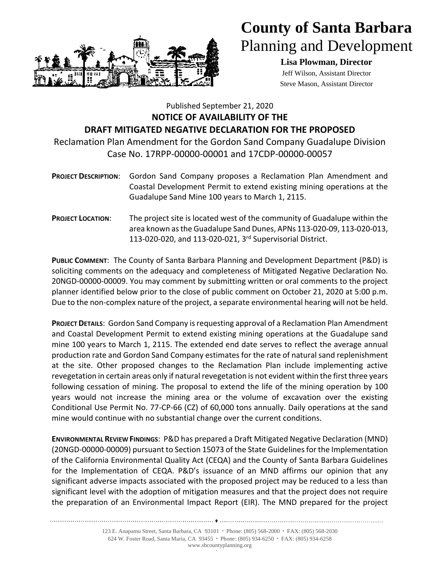

## **County of Santa Barbara** Planning and Development

**Lisa Plowman, Director** Jeff Wilson, Assistant Director Steve Mason, Assistant Director

## Published September 21, 2020 **NOTICE OF AVAILABILITY OF THE DRAFT MITIGATED NEGATIVE DECLARATION FOR THE PROPOSED**

Reclamation Plan Amendment for the Gordon Sand Company Guadalupe Division Case No. 17RPP-00000-00001 and 17CDP-00000-00057

- **PROJECT DESCRIPTION**: Gordon Sand Company proposes a Reclamation Plan Amendment and Coastal Development Permit to extend existing mining operations at the Guadalupe Sand Mine 100 years to March 1, 2115.
- **PROJECT LOCATION**: The project site is located west of the community of Guadalupe within the area known as the Guadalupe Sand Dunes, APNs 113-020-09, 113-020-013, 113-020-020, and 113-020-021, 3 rd Supervisorial District.

**PUBLIC COMMENT**: The County of Santa Barbara Planning and Development Department (P&D) is soliciting comments on the adequacy and completeness of Mitigated Negative Declaration No. 20NGD-00000-00009. You may comment by submitting written or oral comments to the project planner identified below prior to the close of public comment on October 21, 2020 at 5:00 p.m. Due to the non-complex nature of the project, a separate environmental hearing will not be held.

**PROJECT DETAILS**: Gordon Sand Company is requesting approval of a Reclamation Plan Amendment and Coastal Development Permit to extend existing mining operations at the Guadalupe sand mine 100 years to March 1, 2115. The extended end date serves to reflect the average annual production rate and Gordon Sand Company estimates for the rate of natural sand replenishment at the site. Other proposed changes to the Reclamation Plan include implementing active revegetation in certain areas only if natural revegetation is not evident within the first three years following cessation of mining. The proposal to extend the life of the mining operation by 100 years would not increase the mining area or the volume of excavation over the existing Conditional Use Permit No. 77-CP-66 (CZ) of 60,000 tons annually. Daily operations at the sand mine would continue with no substantial change over the current conditions.

**ENVIRONMENTAL REVIEW FINDINGS**: P&D has prepared a Draft Mitigated Negative Declaration (MND) (20NGD-00000-00009) pursuant to Section 15073 of the State Guidelines for the Implementation of the California Environmental Quality Act (CEQA) and the County of Santa Barbara Guidelines for the Implementation of CEQA. P&D's issuance of an MND affirms our opinion that any significant adverse impacts associated with the proposed project may be reduced to a less than significant level with the adoption of mitigation measures and that the project does not require the preparation of an Environmental Impact Report (EIR). The MND prepared for the project